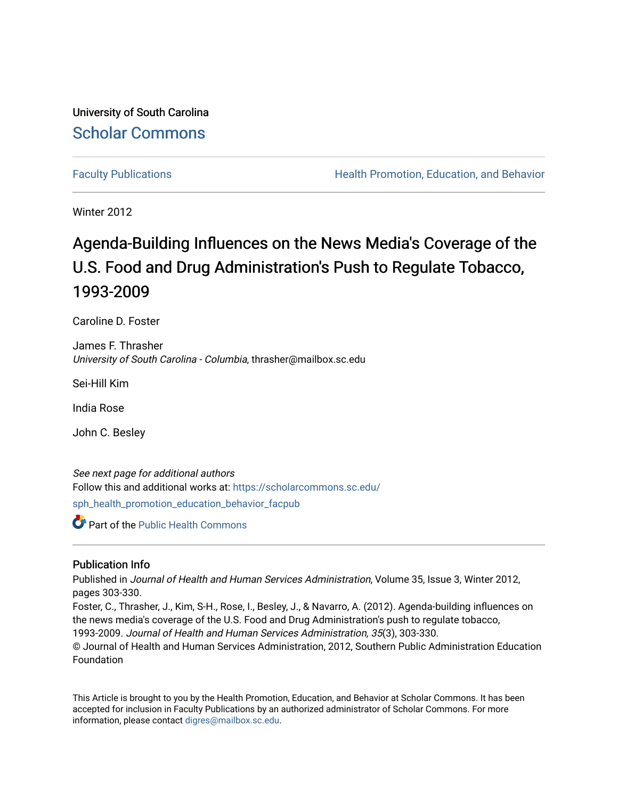University of South Carolina [Scholar Commons](https://scholarcommons.sc.edu/) 

[Faculty Publications](https://scholarcommons.sc.edu/sph_health_promotion_education_behavior_facpub) **Health Promotion, Education, and Behavior Health Promotion, Education, and Behavior** 

Winter 2012

# Agenda-Building Influences on the News Media's Coverage of the U.S. Food and Drug Administration's Push to Regulate Tobacco, 1993-2009

Caroline D. Foster

James F. Thrasher University of South Carolina - Columbia, thrasher@mailbox.sc.edu

Sei-Hill Kim

India Rose

John C. Besley

See next page for additional authors Follow this and additional works at: [https://scholarcommons.sc.edu/](https://scholarcommons.sc.edu/sph_health_promotion_education_behavior_facpub?utm_source=scholarcommons.sc.edu%2Fsph_health_promotion_education_behavior_facpub%2F130&utm_medium=PDF&utm_campaign=PDFCoverPages)

[sph\\_health\\_promotion\\_education\\_behavior\\_facpub](https://scholarcommons.sc.edu/sph_health_promotion_education_behavior_facpub?utm_source=scholarcommons.sc.edu%2Fsph_health_promotion_education_behavior_facpub%2F130&utm_medium=PDF&utm_campaign=PDFCoverPages)

Part of the [Public Health Commons](http://network.bepress.com/hgg/discipline/738?utm_source=scholarcommons.sc.edu%2Fsph_health_promotion_education_behavior_facpub%2F130&utm_medium=PDF&utm_campaign=PDFCoverPages) 

#### Publication Info

Published in Journal of Health and Human Services Administration, Volume 35, Issue 3, Winter 2012, pages 303-330.

Foster, C., Thrasher, J., Kim, S-H., Rose, I., Besley, J., & Navarro, A. (2012). Agenda-building influences on the news media's coverage of the U.S. Food and Drug Administration's push to regulate tobacco, 1993-2009. Journal of Health and Human Services Administration, 35(3), 303-330. © Journal of Health and Human Services Administration, 2012, Southern Public Administration Education Foundation

This Article is brought to you by the Health Promotion, Education, and Behavior at Scholar Commons. It has been accepted for inclusion in Faculty Publications by an authorized administrator of Scholar Commons. For more information, please contact [digres@mailbox.sc.edu.](mailto:digres@mailbox.sc.edu)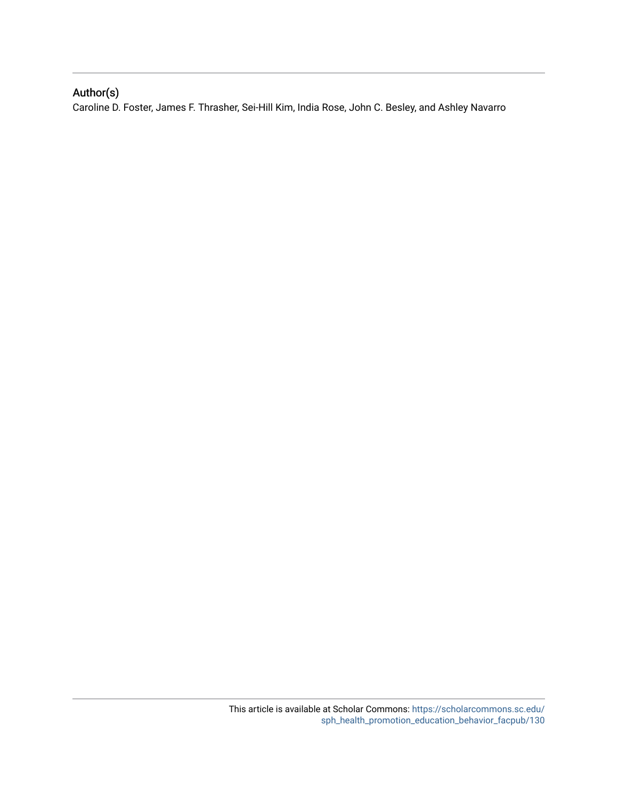# Author(s)

Caroline D. Foster, James F. Thrasher, Sei-Hill Kim, India Rose, John C. Besley, and Ashley Navarro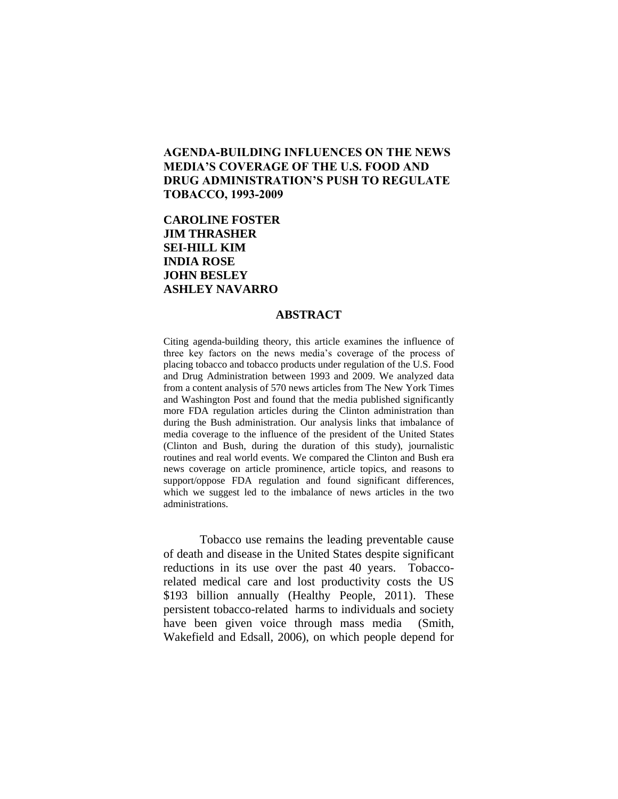# **AGENDA-BUILDING INFLUENCES ON THE NEWS MEDIA'S COVERAGE OF THE U.S. FOOD AND DRUG ADMINISTRATION'S PUSH TO REGULATE TOBACCO, 1993-2009**

# **CAROLINE FOSTER JIM THRASHER SEI-HILL KIM INDIA ROSE JOHN BESLEY ASHLEY NAVARRO**

#### **ABSTRACT**

Citing agenda-building theory, this article examines the influence of three key factors on the news media's coverage of the process of placing tobacco and tobacco products under regulation of the U.S. Food and Drug Administration between 1993 and 2009. We analyzed data from a content analysis of 570 news articles from The New York Times and Washington Post and found that the media published significantly more FDA regulation articles during the Clinton administration than during the Bush administration. Our analysis links that imbalance of media coverage to the influence of the president of the United States (Clinton and Bush, during the duration of this study), journalistic routines and real world events. We compared the Clinton and Bush era news coverage on article prominence, article topics, and reasons to support/oppose FDA regulation and found significant differences, which we suggest led to the imbalance of news articles in the two administrations.

Tobacco use remains the leading preventable cause of death and disease in the United States despite significant reductions in its use over the past 40 years. Tobaccorelated medical care and lost productivity costs the US \$193 billion annually (Healthy People, 2011). These persistent tobacco-related harms to individuals and society have been given voice through mass media (Smith, Wakefield and Edsall, 2006), on which people depend for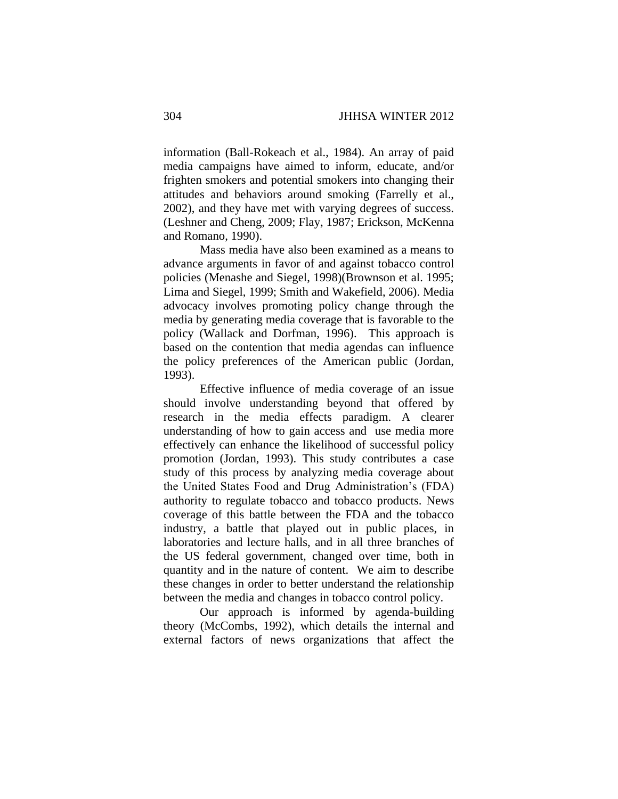information (Ball-Rokeach et al., 1984). An array of paid media campaigns have aimed to inform, educate, and/or frighten smokers and potential smokers into changing their attitudes and behaviors around smoking (Farrelly et al., 2002), and they have met with varying degrees of success. (Leshner and Cheng, 2009; Flay, 1987; Erickson, McKenna and Romano, 1990).

Mass media have also been examined as a means to advance arguments in favor of and against tobacco control policies (Menashe and Siegel, 1998)(Brownson et al. 1995; Lima and Siegel, 1999; Smith and Wakefield, 2006). Media advocacy involves promoting policy change through the media by generating media coverage that is favorable to the policy (Wallack and Dorfman, 1996). This approach is based on the contention that media agendas can influence the policy preferences of the American public (Jordan, 1993).

Effective influence of media coverage of an issue should involve understanding beyond that offered by research in the media effects paradigm. A clearer understanding of how to gain access and use media more effectively can enhance the likelihood of successful policy promotion (Jordan, 1993). This study contributes a case study of this process by analyzing media coverage about the United States Food and Drug Administration's (FDA) authority to regulate tobacco and tobacco products. News coverage of this battle between the FDA and the tobacco industry, a battle that played out in public places, in laboratories and lecture halls, and in all three branches of the US federal government, changed over time, both in quantity and in the nature of content. We aim to describe these changes in order to better understand the relationship between the media and changes in tobacco control policy.

Our approach is informed by agenda-building theory (McCombs, 1992), which details the internal and external factors of news organizations that affect the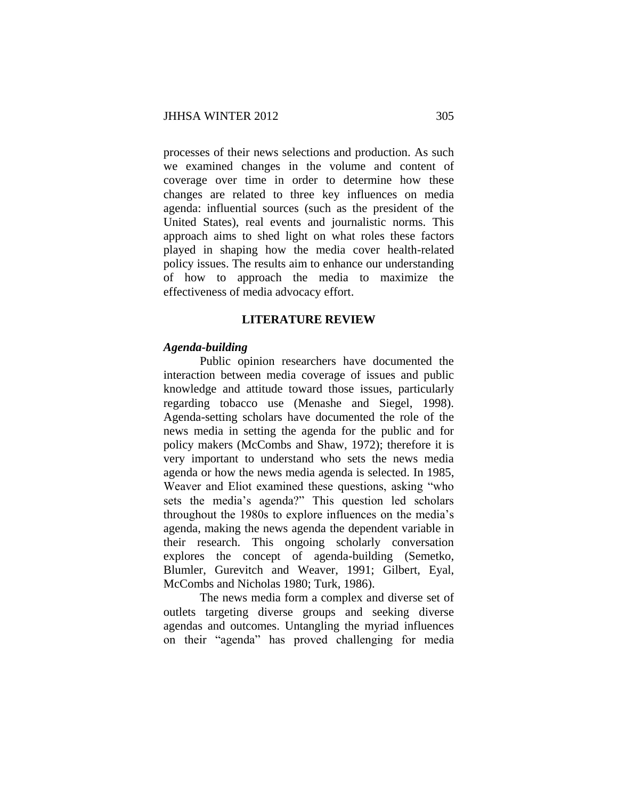processes of their news selections and production. As such we examined changes in the volume and content of coverage over time in order to determine how these changes are related to three key influences on media agenda: influential sources (such as the president of the United States), real events and journalistic norms. This approach aims to shed light on what roles these factors played in shaping how the media cover health-related policy issues. The results aim to enhance our understanding of how to approach the media to maximize the effectiveness of media advocacy effort.

## **LITERATURE REVIEW**

#### *Agenda-building*

Public opinion researchers have documented the interaction between media coverage of issues and public knowledge and attitude toward those issues, particularly regarding tobacco use (Menashe and Siegel, 1998). Agenda-setting scholars have documented the role of the news media in setting the agenda for the public and for policy makers (McCombs and Shaw, 1972); therefore it is very important to understand who sets the news media agenda or how the news media agenda is selected. In 1985, Weaver and Eliot examined these questions, asking "who sets the media's agenda?" This question led scholars throughout the 1980s to explore influences on the media's agenda, making the news agenda the dependent variable in their research. This ongoing scholarly conversation explores the concept of agenda-building (Semetko, Blumler, Gurevitch and Weaver, 1991; Gilbert, Eyal, McCombs and Nicholas 1980; Turk, 1986).

The news media form a complex and diverse set of outlets targeting diverse groups and seeking diverse agendas and outcomes. Untangling the myriad influences on their "agenda" has proved challenging for media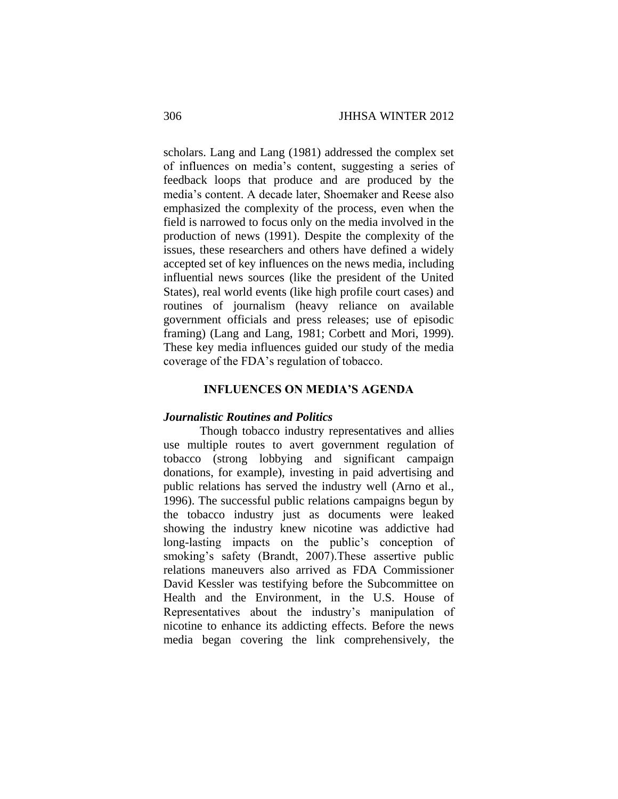scholars. Lang and Lang (1981) addressed the complex set of influences on media's content, suggesting a series of feedback loops that produce and are produced by the media's content. A decade later, Shoemaker and Reese also emphasized the complexity of the process, even when the field is narrowed to focus only on the media involved in the production of news (1991). Despite the complexity of the issues, these researchers and others have defined a widely accepted set of key influences on the news media, including influential news sources (like the president of the United States), real world events (like high profile court cases) and routines of journalism (heavy reliance on available government officials and press releases; use of episodic framing) (Lang and Lang, 1981; Corbett and Mori, 1999). These key media influences guided our study of the media coverage of the FDA's regulation of tobacco.

## **INFLUENCES ON MEDIA'S AGENDA**

# *Journalistic Routines and Politics*

Though tobacco industry representatives and allies use multiple routes to avert government regulation of tobacco (strong lobbying and significant campaign donations, for example), investing in paid advertising and public relations has served the industry well (Arno et al., 1996). The successful public relations campaigns begun by the tobacco industry just as documents were leaked showing the industry knew nicotine was addictive had long-lasting impacts on the public's conception of smoking's safety (Brandt, 2007).These assertive public relations maneuvers also arrived as FDA Commissioner David Kessler was testifying before the Subcommittee on Health and the Environment, in the U.S. House of Representatives about the industry's manipulation of nicotine to enhance its addicting effects. Before the news media began covering the link comprehensively, the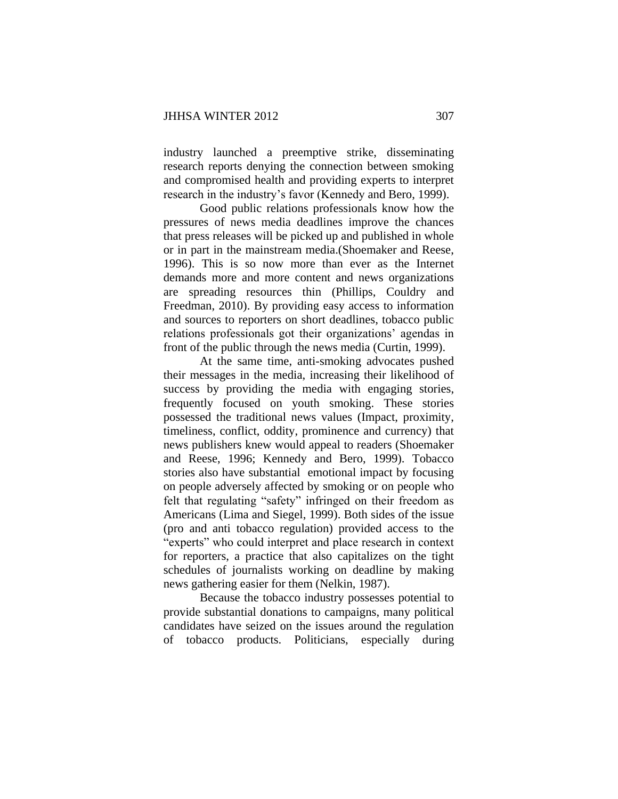industry launched a preemptive strike, disseminating research reports denying the connection between smoking and compromised health and providing experts to interpret research in the industry's favor (Kennedy and Bero, 1999).

Good public relations professionals know how the pressures of news media deadlines improve the chances that press releases will be picked up and published in whole or in part in the mainstream media.(Shoemaker and Reese, 1996). This is so now more than ever as the Internet demands more and more content and news organizations are spreading resources thin (Phillips, Couldry and Freedman, 2010). By providing easy access to information and sources to reporters on short deadlines, tobacco public relations professionals got their organizations' agendas in front of the public through the news media (Curtin, 1999).

At the same time, anti-smoking advocates pushed their messages in the media, increasing their likelihood of success by providing the media with engaging stories, frequently focused on youth smoking. These stories possessed the traditional news values (Impact, proximity, timeliness, conflict, oddity, prominence and currency) that news publishers knew would appeal to readers (Shoemaker and Reese, 1996; Kennedy and Bero, 1999). Tobacco stories also have substantial emotional impact by focusing on people adversely affected by smoking or on people who felt that regulating "safety" infringed on their freedom as Americans (Lima and Siegel, 1999). Both sides of the issue (pro and anti tobacco regulation) provided access to the "experts" who could interpret and place research in context for reporters, a practice that also capitalizes on the tight schedules of journalists working on deadline by making news gathering easier for them (Nelkin, 1987).

Because the tobacco industry possesses potential to provide substantial donations to campaigns, many political candidates have seized on the issues around the regulation of tobacco products. Politicians, especially during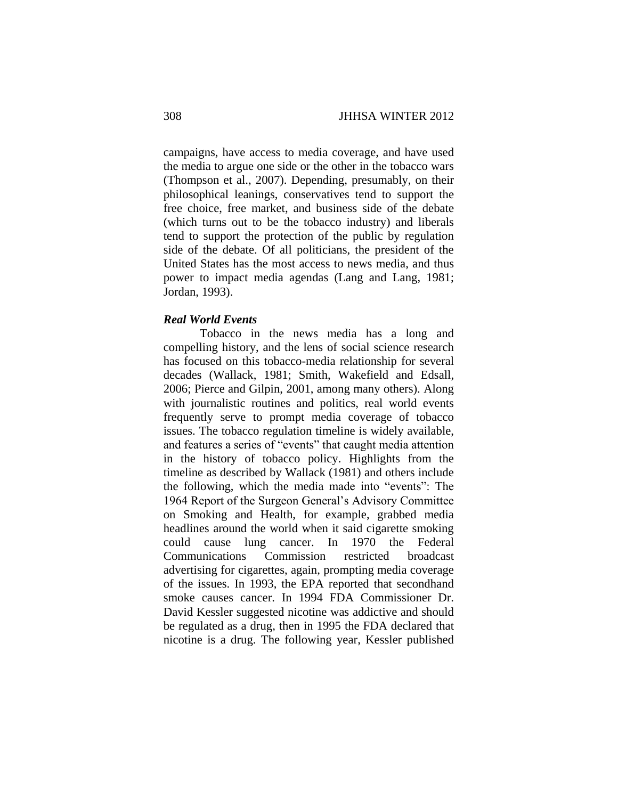campaigns, have access to media coverage, and have used the media to argue one side or the other in the tobacco wars (Thompson et al., 2007). Depending, presumably, on their philosophical leanings, conservatives tend to support the free choice, free market, and business side of the debate (which turns out to be the tobacco industry) and liberals tend to support the protection of the public by regulation side of the debate. Of all politicians, the president of the United States has the most access to news media, and thus power to impact media agendas (Lang and Lang, 1981; Jordan, 1993).

#### *Real World Events*

Tobacco in the news media has a long and compelling history, and the lens of social science research has focused on this tobacco-media relationship for several decades (Wallack, 1981; Smith, Wakefield and Edsall, 2006; Pierce and Gilpin, 2001, among many others). Along with journalistic routines and politics, real world events frequently serve to prompt media coverage of tobacco issues. The tobacco regulation timeline is widely available, and features a series of "events" that caught media attention in the history of tobacco policy. Highlights from the timeline as described by Wallack (1981) and others include the following, which the media made into "events": The 1964 Report of the Surgeon General's Advisory Committee on Smoking and Health, for example, grabbed media headlines around the world when it said cigarette smoking could cause lung cancer. In 1970 the Federal Communications Commission restricted broadcast advertising for cigarettes, again, prompting media coverage of the issues. In 1993, the EPA reported that secondhand smoke causes cancer. In 1994 FDA Commissioner Dr. David Kessler suggested nicotine was addictive and should be regulated as a drug, then in 1995 the FDA declared that nicotine is a drug. The following year, Kessler published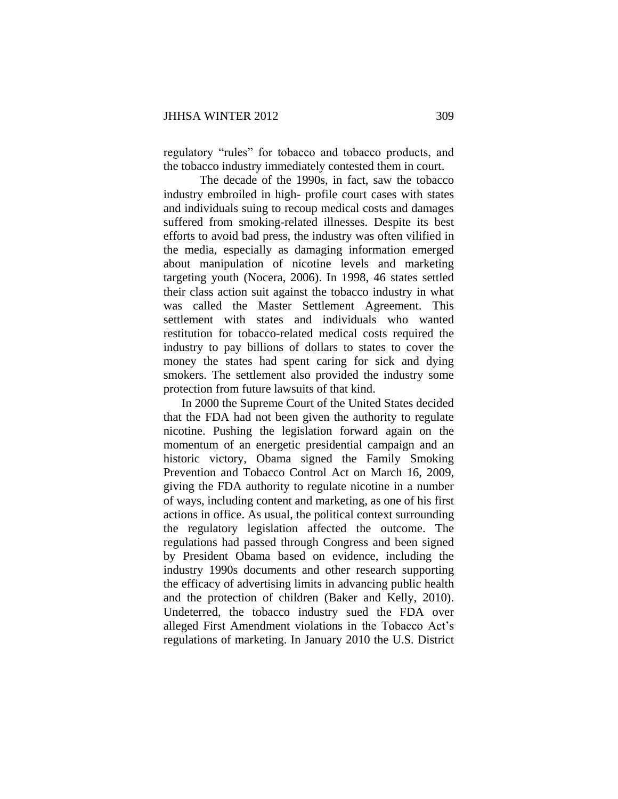regulatory "rules" for tobacco and tobacco products, and the tobacco industry immediately contested them in court.

The decade of the 1990s, in fact, saw the tobacco industry embroiled in high- profile court cases with states and individuals suing to recoup medical costs and damages suffered from smoking-related illnesses. Despite its best efforts to avoid bad press, the industry was often vilified in the media, especially as damaging information emerged about manipulation of nicotine levels and marketing targeting youth (Nocera, 2006). In 1998, 46 states settled their class action suit against the tobacco industry in what was called the Master Settlement Agreement. This settlement with states and individuals who wanted restitution for tobacco-related medical costs required the industry to pay billions of dollars to states to cover the money the states had spent caring for sick and dying smokers. The settlement also provided the industry some protection from future lawsuits of that kind.

In 2000 the Supreme Court of the United States decided that the FDA had not been given the authority to regulate nicotine. Pushing the legislation forward again on the momentum of an energetic presidential campaign and an historic victory, Obama signed the Family Smoking Prevention and Tobacco Control Act on March 16, 2009, giving the FDA authority to regulate nicotine in a number of ways, including content and marketing, as one of his first actions in office. As usual, the political context surrounding the regulatory legislation affected the outcome. The regulations had passed through Congress and been signed by President Obama based on evidence, including the industry 1990s documents and other research supporting the efficacy of advertising limits in advancing public health and the protection of children (Baker and Kelly, 2010). Undeterred, the tobacco industry sued the FDA over alleged First Amendment violations in the Tobacco Act's regulations of marketing. In January 2010 the U.S. District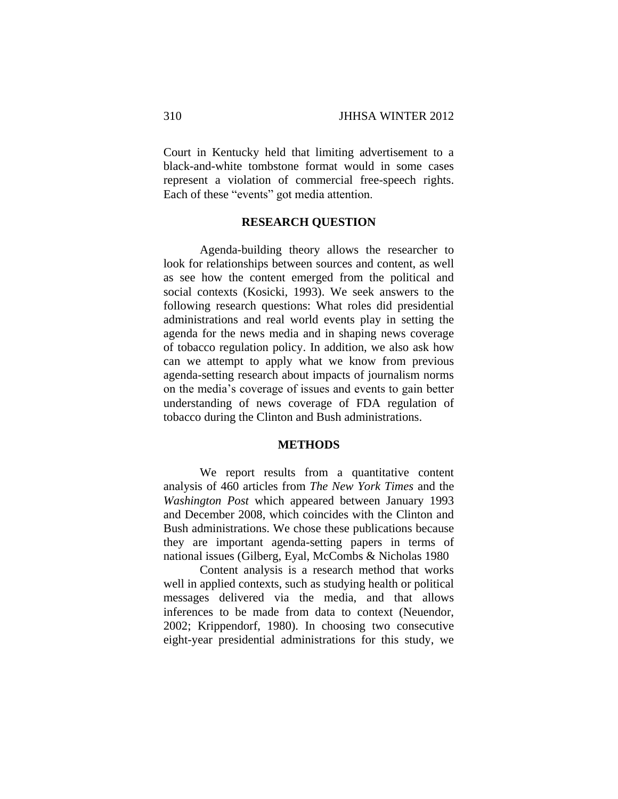Court in Kentucky held that limiting advertisement to a black-and-white tombstone format would in some cases represent a violation of commercial free-speech rights. Each of these "events" got media attention.

# **RESEARCH QUESTION**

Agenda-building theory allows the researcher to look for relationships between sources and content, as well as see how the content emerged from the political and social contexts (Kosicki, 1993). We seek answers to the following research questions: What roles did presidential administrations and real world events play in setting the agenda for the news media and in shaping news coverage of tobacco regulation policy. In addition, we also ask how can we attempt to apply what we know from previous agenda-setting research about impacts of journalism norms on the media's coverage of issues and events to gain better understanding of news coverage of FDA regulation of tobacco during the Clinton and Bush administrations.

# **METHODS**

We report results from a quantitative content analysis of 460 articles from *The New York Times* and the *Washington Post* which appeared between January 1993 and December 2008, which coincides with the Clinton and Bush administrations. We chose these publications because they are important agenda-setting papers in terms of national issues (Gilberg, Eyal, McCombs & Nicholas 1980

Content analysis is a research method that works well in applied contexts, such as studying health or political messages delivered via the media, and that allows inferences to be made from data to context (Neuendor, 2002; Krippendorf, 1980). In choosing two consecutive eight-year presidential administrations for this study, we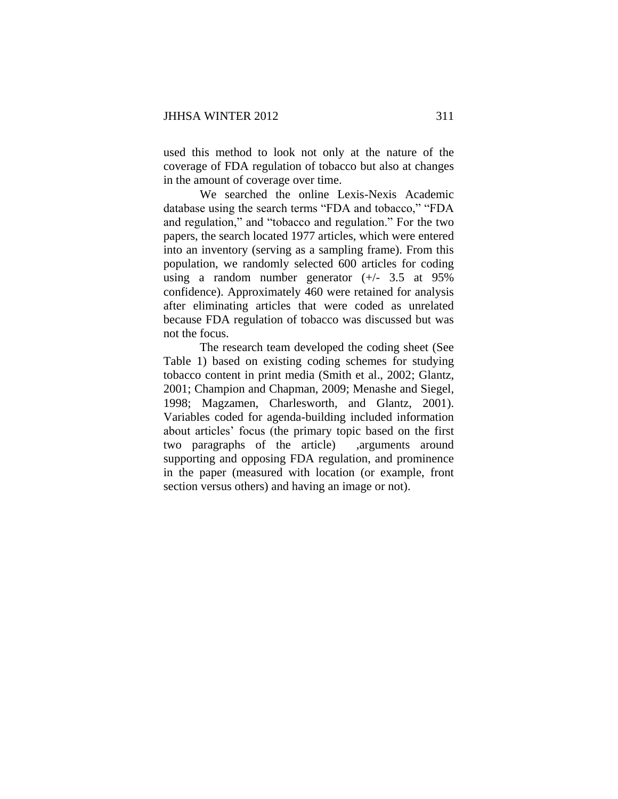used this method to look not only at the nature of the coverage of FDA regulation of tobacco but also at changes in the amount of coverage over time.

We searched the online Lexis-Nexis Academic database using the search terms "FDA and tobacco," "FDA and regulation," and "tobacco and regulation." For the two papers, the search located 1977 articles, which were entered into an inventory (serving as a sampling frame). From this population, we randomly selected 600 articles for coding using a random number generator  $(+/- 3.5$  at 95% confidence). Approximately 460 were retained for analysis after eliminating articles that were coded as unrelated because FDA regulation of tobacco was discussed but was not the focus.

The research team developed the coding sheet (See Table 1) based on existing coding schemes for studying tobacco content in print media (Smith et al., 2002; Glantz, 2001; Champion and Chapman, 2009; Menashe and Siegel, 1998; Magzamen, Charlesworth, and Glantz, 2001). Variables coded for agenda-building included information about articles' focus (the primary topic based on the first two paragraphs of the article) ,arguments around supporting and opposing FDA regulation, and prominence in the paper (measured with location (or example, front section versus others) and having an image or not).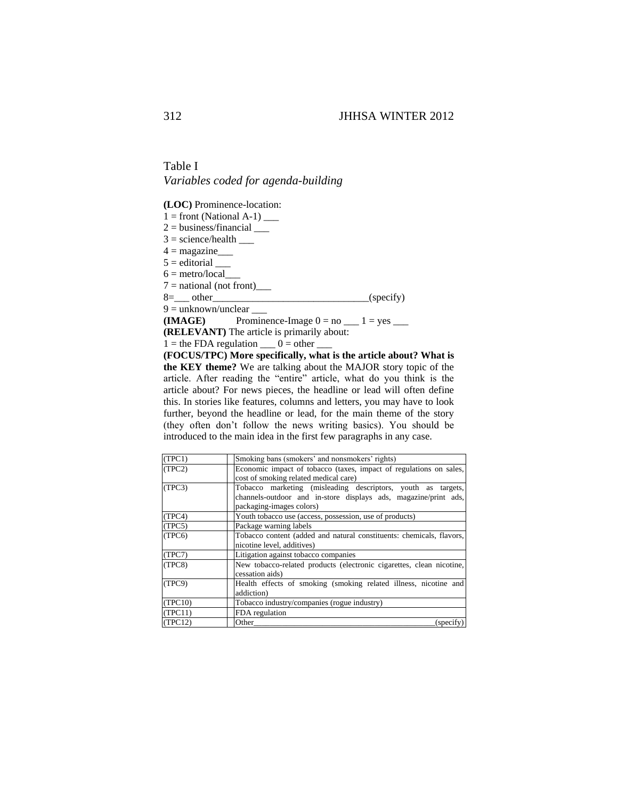Table I *Variables coded for agenda-building*

**(LOC)** Prominence-location:

 $1 =$  front (National A-1)  $\_\_$ 

 $2 = \text{business/financial}$ 

 $3 = \text{science/health}$ 

 $4 = \text{magazine}$ 

 $5 =$  editorial  $\_\_$ 

 $6 = \text{metro}/\text{local}$ 

 $7 =$  national (not front)\_\_\_\_\_\_

 $8 = \_ \text{other}$  (specify)

 $9 =$  unknown/unclear  $\frac{ }{ }$ 

**(IMAGE)** Prominence-Image  $0 = no \_ 1 = yes \_$ 

**(RELEVANT)** The article is primarily about:

 $1 =$  the FDA regulation  $0 =$  other

**(FOCUS/TPC) More specifically, what is the article about? What is the KEY theme?** We are talking about the MAJOR story topic of the article. After reading the "entire" article, what do you think is the article about? For news pieces, the headline or lead will often define this. In stories like features, columns and letters, you may have to look further, beyond the headline or lead, for the main theme of the story (they often don't follow the news writing basics). You should be introduced to the main idea in the first few paragraphs in any case.

| (TPC1)  | Smoking bans (smokers' and nonsmokers' rights)                                                                                                              |  |  |  |  |
|---------|-------------------------------------------------------------------------------------------------------------------------------------------------------------|--|--|--|--|
| (TPC2)  | Economic impact of tobacco (taxes, impact of regulations on sales,<br>cost of smoking related medical care)                                                 |  |  |  |  |
| (TPC3)  | Tobacco marketing (misleading descriptors, youth as targets,<br>channels-outdoor and in-store displays ads, magazine/print ads,<br>packaging-images colors) |  |  |  |  |
| (TPC4)  | Youth tobacco use (access, possession, use of products)                                                                                                     |  |  |  |  |
| (TPC5)  | Package warning labels                                                                                                                                      |  |  |  |  |
| (TPC6)  | Tobacco content (added and natural constituents: chemicals, flavors,<br>nicotine level, additives)                                                          |  |  |  |  |
| (TPC7)  | Litigation against tobacco companies                                                                                                                        |  |  |  |  |
| (TPC8)  | New tobacco-related products (electronic cigarettes, clean nicotine,<br>cessation aids)                                                                     |  |  |  |  |
| (TPC9)  | Health effects of smoking (smoking related illness, nicotine and<br>addiction)                                                                              |  |  |  |  |
| (TPC10) | Tobacco industry/companies (rogue industry)                                                                                                                 |  |  |  |  |
| (TPC11) | FDA regulation                                                                                                                                              |  |  |  |  |
| (TPC12) | Other<br>(specify                                                                                                                                           |  |  |  |  |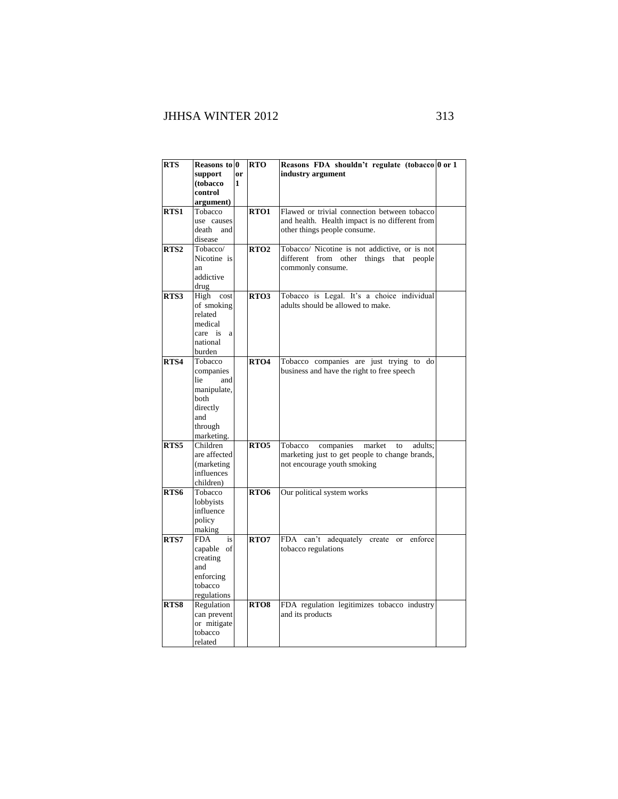| <b>RTS</b>       | Reasons to 0<br>support<br>(tobacco<br>control                                                        | <sub>or</sub><br>1 | <b>RTO</b>       | Reasons FDA shouldn't regulate (tobacco 0 or 1<br>industry argument                                                              |  |
|------------------|-------------------------------------------------------------------------------------------------------|--------------------|------------------|----------------------------------------------------------------------------------------------------------------------------------|--|
|                  | argument)                                                                                             |                    |                  |                                                                                                                                  |  |
| RTS1             | Tobacco<br>use causes<br>death<br>and<br>disease                                                      |                    | RTO1             | Flawed or trivial connection between tobacco<br>and health. Health impact is no different from<br>other things people consume.   |  |
| RTS <sub>2</sub> | Tobacco/<br>Nicotine is<br>an<br>addictive<br>drug                                                    |                    | RTO <sub>2</sub> | Tobacco/ Nicotine is not addictive, or is not<br>different from other things<br>that people<br>commonly consume.                 |  |
| RTS3             | High<br>cost<br>of smoking<br>related<br>medical<br>care is<br>a<br>national<br>burden                |                    | RTO3             | Tobacco is Legal. It's a choice individual<br>adults should be allowed to make.                                                  |  |
| RTS4             | Tobacco<br>companies<br>and<br>lie<br>manipulate,<br>both<br>directly<br>and<br>through<br>marketing. |                    | RTO <sub>4</sub> | Tobacco companies are just trying to<br>do<br>business and have the right to free speech                                         |  |
| RTS5             | Children<br>are affected<br>(marketing<br>influences<br>children)                                     |                    | RTO <sub>5</sub> | Tobacco<br>companies<br>market<br>adults:<br>to<br>marketing just to get people to change brands,<br>not encourage youth smoking |  |
| RTS6             | Tobacco<br>lobbyists<br>influence<br>policy<br>making                                                 |                    | RTO6             | Our political system works                                                                                                       |  |
| RTS7             | <b>FDA</b><br>is<br>capable of<br>creating<br>and<br>enforcing<br>tobacco<br>regulations              |                    | RTO7             | FDA can't adequately<br>enforce<br>create<br>or<br>tobacco regulations                                                           |  |
| RTS8             | Regulation<br>can prevent<br>or mitigate<br>tobacco<br>related                                        |                    | RTO8             | FDA regulation legitimizes tobacco industry<br>and its products                                                                  |  |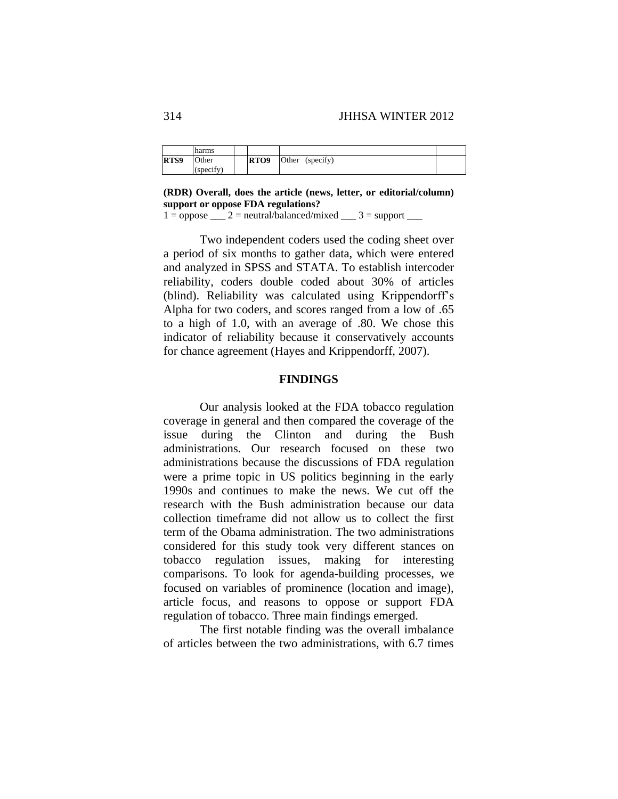|      | harms     |      |                    |  |
|------|-----------|------|--------------------|--|
| RTS9 | Other     | RTO9 | (specify)<br>Other |  |
|      | (specify) |      |                    |  |

**(RDR) Overall, does the article (news, letter, or editorial/column) support or oppose FDA regulations?** 

 $1 =$  oppose  $2 =$  neutral/balanced/mixed  $3 =$  support  $2 =$ 

Two independent coders used the coding sheet over a period of six months to gather data, which were entered and analyzed in SPSS and STATA. To establish intercoder reliability, coders double coded about 30% of articles (blind). Reliability was calculated using Krippendorff's Alpha for two coders, and scores ranged from a low of .65 to a high of 1.0, with an average of .80. We chose this indicator of reliability because it conservatively accounts for chance agreement (Hayes and Krippendorff, 2007).

# **FINDINGS**

Our analysis looked at the FDA tobacco regulation coverage in general and then compared the coverage of the issue during the Clinton and during the Bush administrations. Our research focused on these two administrations because the discussions of FDA regulation were a prime topic in US politics beginning in the early 1990s and continues to make the news. We cut off the research with the Bush administration because our data collection timeframe did not allow us to collect the first term of the Obama administration. The two administrations considered for this study took very different stances on tobacco regulation issues, making for interesting comparisons. To look for agenda-building processes, we focused on variables of prominence (location and image), article focus, and reasons to oppose or support FDA regulation of tobacco. Three main findings emerged.

The first notable finding was the overall imbalance of articles between the two administrations, with 6.7 times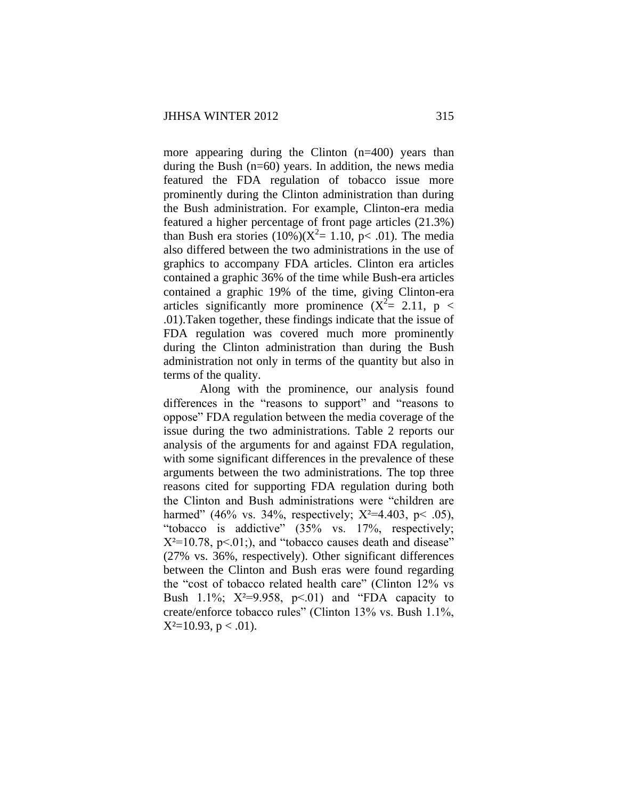more appearing during the Clinton (n=400) years than during the Bush (n=60) years. In addition, the news media featured the FDA regulation of tobacco issue more prominently during the Clinton administration than during the Bush administration. For example, Clinton-era media featured a higher percentage of front page articles (21.3%) than Bush era stories  $(10\%)$  $(X^2 = 1.10, p < .01)$ . The media also differed between the two administrations in the use of graphics to accompany FDA articles. Clinton era articles contained a graphic 36% of the time while Bush-era articles contained a graphic 19% of the time, giving Clinton-era articles significantly more prominence  $(X^2 = 2.11, p <$ .01).Taken together, these findings indicate that the issue of FDA regulation was covered much more prominently during the Clinton administration than during the Bush administration not only in terms of the quantity but also in terms of the quality.

Along with the prominence, our analysis found differences in the "reasons to support" and "reasons to oppose" FDA regulation between the media coverage of the issue during the two administrations. Table 2 reports our analysis of the arguments for and against FDA regulation, with some significant differences in the prevalence of these arguments between the two administrations. The top three reasons cited for supporting FDA regulation during both the Clinton and Bush administrations were "children are harmed" (46% vs. 34%, respectively;  $X^2=4.403$ , p< .05), "tobacco is addictive" (35% vs. 17%, respectively;  $X^2=10.78$ , p<.01;), and "tobacco causes death and disease" (27% vs. 36%, respectively). Other significant differences between the Clinton and Bush eras were found regarding the "cost of tobacco related health care" (Clinton 12% vs Bush 1.1%;  $X^2=9.958$ ,  $p<01$  and "FDA capacity to create/enforce tobacco rules" (Clinton 13% vs. Bush 1.1%,  $X^2=10.93$ , p < .01).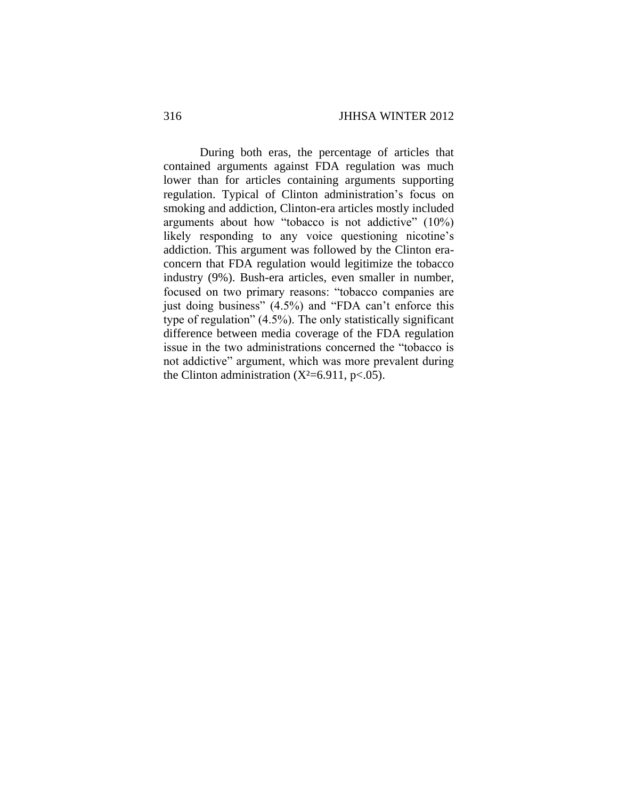During both eras, the percentage of articles that contained arguments against FDA regulation was much lower than for articles containing arguments supporting regulation. Typical of Clinton administration's focus on smoking and addiction, Clinton-era articles mostly included arguments about how "tobacco is not addictive" (10%) likely responding to any voice questioning nicotine's addiction. This argument was followed by the Clinton eraconcern that FDA regulation would legitimize the tobacco industry (9%). Bush-era articles, even smaller in number, focused on two primary reasons: "tobacco companies are just doing business" (4.5%) and "FDA can't enforce this type of regulation" (4.5%). The only statistically significant difference between media coverage of the FDA regulation issue in the two administrations concerned the "tobacco is not addictive" argument, which was more prevalent during the Clinton administration  $(X^2=6.911, p<.05)$ .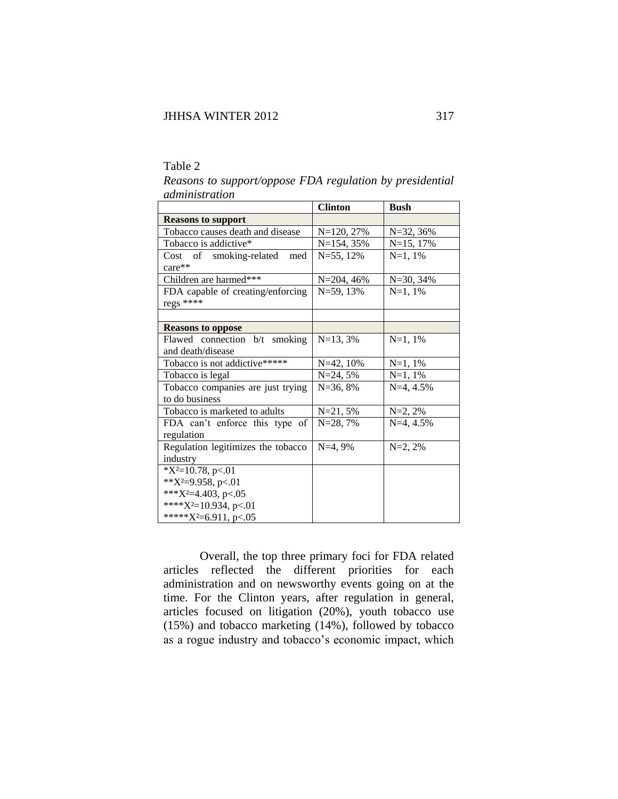# Table 2

|                                    | <b>Clinton</b> | <b>Bush</b> |
|------------------------------------|----------------|-------------|
| <b>Reasons to support</b>          |                |             |
| Tobacco causes death and disease   | $N=120, 27%$   | N=32, 36%   |
| Tobacco is addictive*              | $N=154, 35%$   | $N=15, 17%$ |
| Cost of smoking-related<br>med     | $N = 55$ , 12% | $N=1, 1%$   |
| $care**$                           |                |             |
| Children are harmed***             | $N = 204, 46%$ | $N=30, 34%$ |
| FDA capable of creating/enforcing  | $N = 59, 13%$  | $N=1, 1%$   |
| regs ****                          |                |             |
|                                    |                |             |
| <b>Reasons to oppose</b>           |                |             |
| Flawed connection b/t smoking      | $N=13, 3%$     | $N=1, 1%$   |
| and death/disease                  |                |             |
| Tobacco is not addictive*****      | $N=42, 10%$    | $N=1, 1%$   |
| Tobacco is legal                   | $N = 24, 5%$   | $N=1, 1%$   |
| Tobacco companies are just trying  | $N=36, 8%$     | $N=4, 4.5%$ |
| to do business                     |                |             |
| Tobacco is marketed to adults      | $N=21, 5%$     | $N=2, 2%$   |
| FDA can't enforce this type of     | $N=28,7%$      | $N=4, 4.5%$ |
| regulation                         |                |             |
| Regulation legitimizes the tobacco | $N=4,9%$       | $N=2, 2%$   |
| industry                           |                |             |
| $*X^2=10.78$ , p<.01               |                |             |
| ** $X^2=9.958$ , p<.01             |                |             |
| *** $X^2=4.403$ , p<.05            |                |             |
| **** $X^2=10.934$ , p<.01          |                |             |
| ***** $X^2=6.911$ , p<.05          |                |             |

*Reasons to support/oppose FDA regulation by presidential administration*

Overall, the top three primary foci for FDA related articles reflected the different priorities for each administration and on newsworthy events going on at the time. For the Clinton years, after regulation in general, articles focused on litigation (20%), youth tobacco use (15%) and tobacco marketing (14%), followed by tobacco as a rogue industry and tobacco's economic impact, which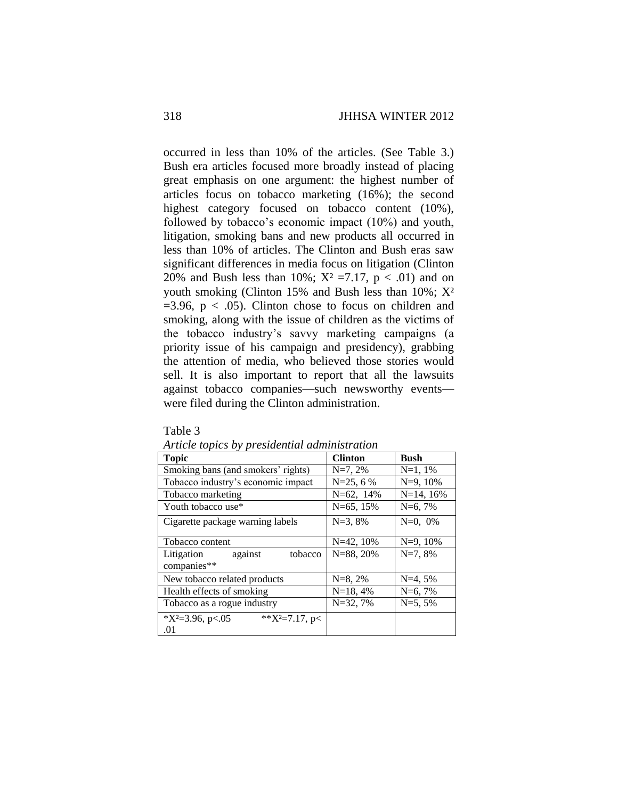occurred in less than 10% of the articles. (See Table 3.) Bush era articles focused more broadly instead of placing great emphasis on one argument: the highest number of articles focus on tobacco marketing (16%); the second highest category focused on tobacco content (10%), followed by tobacco's economic impact (10%) and youth, litigation, smoking bans and new products all occurred in less than 10% of articles. The Clinton and Bush eras saw significant differences in media focus on litigation (Clinton 20% and Bush less than 10%;  $X^2 = 7.17$ ,  $p < .01$ ) and on youth smoking (Clinton 15% and Bush less than  $10\%$ ;  $X^2$  $=3.96$ ,  $p < .05$ ). Clinton chose to focus on children and smoking, along with the issue of children as the victims of the tobacco industry's savvy marketing campaigns (a priority issue of his campaign and presidency), grabbing the attention of media, who believed those stories would sell. It is also important to report that all the lawsuits against tobacco companies—such newsworthy events were filed during the Clinton administration.

| <b>Topic</b>                                     | <b>Clinton</b> | <b>Bush</b> |
|--------------------------------------------------|----------------|-------------|
| Smoking bans (and smokers' rights)               | $N=7, 2%$      | $N=1, 1%$   |
| Tobacco industry's economic impact               | $N=25, 6%$     | $N=9, 10%$  |
| Tobacco marketing                                | N=62, 14%      | $N=14, 16%$ |
| Youth tobacco use*                               | $N=65, 15%$    | $N=6,7%$    |
| Cigarette package warning labels                 | $N=3, 8%$      | $N=0, 0\%$  |
| Tobacco content                                  | $N=42, 10%$    | $N=9, 10%$  |
| tobacco<br>Litigation<br>against<br>companies**  | $N = 88, 20%$  | $N=7, 8%$   |
| New tobacco related products                     | $N=8, 2%$      | $N=4, 5%$   |
| Health effects of smoking                        | $N=18, 4%$     | $N=6, 7%$   |
| Tobacco as a rogue industry                      | $N=32,7%$      | $N=5, 5%$   |
| ** $X^2=7.17$ , p<<br>$*X^2=3.96$ , p<.05<br>.01 |                |             |

*Article topics by presidential administration*

Table 3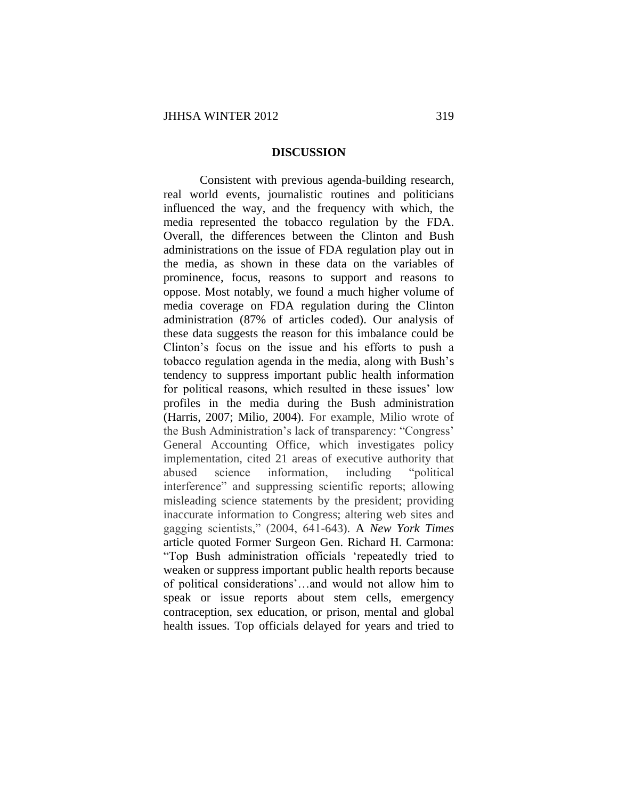#### **DISCUSSION**

Consistent with previous agenda-building research, real world events, journalistic routines and politicians influenced the way, and the frequency with which, the media represented the tobacco regulation by the FDA. Overall, the differences between the Clinton and Bush administrations on the issue of FDA regulation play out in the media, as shown in these data on the variables of prominence, focus, reasons to support and reasons to oppose. Most notably, we found a much higher volume of media coverage on FDA regulation during the Clinton administration (87% of articles coded). Our analysis of these data suggests the reason for this imbalance could be Clinton's focus on the issue and his efforts to push a tobacco regulation agenda in the media, along with Bush's tendency to suppress important public health information for political reasons, which resulted in these issues' low profiles in the media during the Bush administration (Harris, 2007; Milio, 2004). For example, Milio wrote of the Bush Administration's lack of transparency: "Congress' General Accounting Office, which investigates policy implementation, cited 21 areas of executive authority that abused science information, including "political interference" and suppressing scientific reports; allowing misleading science statements by the president; providing inaccurate information to Congress; altering web sites and gagging scientists," (2004, 641-643). A *New York Times* article quoted Former Surgeon Gen. Richard H. Carmona: "Top Bush administration officials 'repeatedly tried to weaken or suppress important public health reports because of political considerations'…and would not allow him to speak or issue reports about stem cells, emergency contraception, sex education, or prison, mental and global health issues. Top officials delayed for years and tried to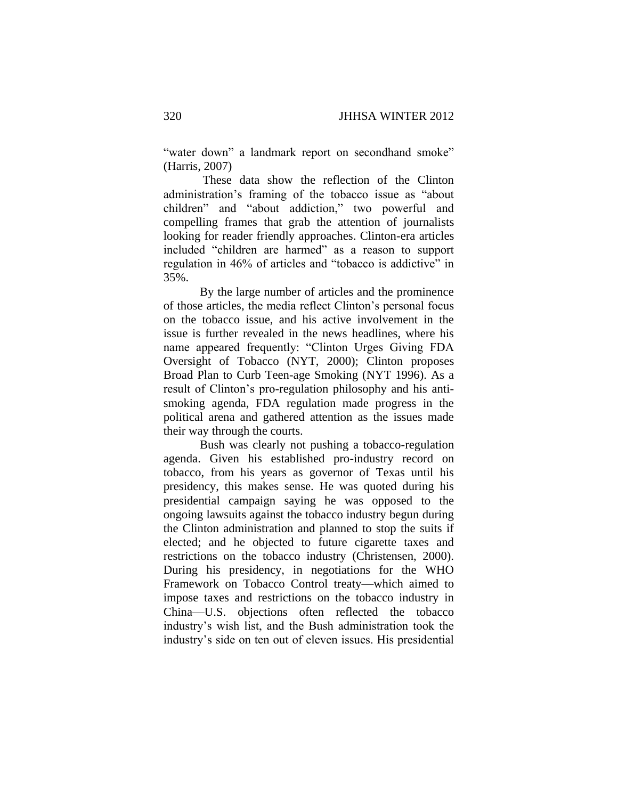"water down" a landmark report on secondhand smoke" (Harris, 2007)

These data show the reflection of the Clinton administration's framing of the tobacco issue as "about children" and "about addiction," two powerful and compelling frames that grab the attention of journalists looking for reader friendly approaches. Clinton-era articles included "children are harmed" as a reason to support regulation in 46% of articles and "tobacco is addictive" in 35%.

By the large number of articles and the prominence of those articles, the media reflect Clinton's personal focus on the tobacco issue, and his active involvement in the issue is further revealed in the news headlines, where his name appeared frequently: "Clinton Urges Giving FDA Oversight of Tobacco (NYT, 2000); Clinton proposes Broad Plan to Curb Teen-age Smoking (NYT 1996). As a result of Clinton's pro-regulation philosophy and his antismoking agenda, FDA regulation made progress in the political arena and gathered attention as the issues made their way through the courts.

Bush was clearly not pushing a tobacco-regulation agenda. Given his established pro-industry record on tobacco, from his years as governor of Texas until his presidency, this makes sense. He was quoted during his presidential campaign saying he was opposed to the ongoing lawsuits against the tobacco industry begun during the Clinton administration and planned to stop the suits if elected; and he objected to future cigarette taxes and restrictions on the tobacco industry (Christensen, 2000). During his presidency, in negotiations for the WHO Framework on Tobacco Control treaty—which aimed to impose taxes and restrictions on the tobacco industry in China—U.S. objections often reflected the tobacco industry's wish list, and the Bush administration took the industry's side on ten out of eleven issues. His presidential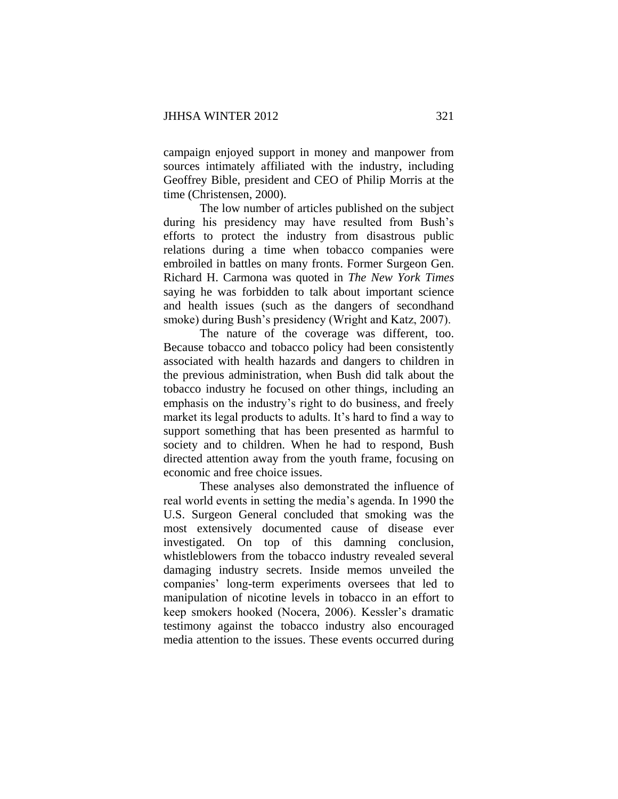campaign enjoyed support in money and manpower from sources intimately affiliated with the industry, including Geoffrey Bible, president and CEO of Philip Morris at the time (Christensen, 2000).

The low number of articles published on the subject during his presidency may have resulted from Bush's efforts to protect the industry from disastrous public relations during a time when tobacco companies were embroiled in battles on many fronts. Former Surgeon Gen. Richard H. Carmona was quoted in *The New York Times*  saying he was forbidden to talk about important science and health issues (such as the dangers of secondhand smoke) during Bush's presidency (Wright and Katz, 2007).

The nature of the coverage was different, too. Because tobacco and tobacco policy had been consistently associated with health hazards and dangers to children in the previous administration, when Bush did talk about the tobacco industry he focused on other things, including an emphasis on the industry's right to do business, and freely market its legal products to adults. It's hard to find a way to support something that has been presented as harmful to society and to children. When he had to respond, Bush directed attention away from the youth frame, focusing on economic and free choice issues.

These analyses also demonstrated the influence of real world events in setting the media's agenda. In 1990 the U.S. Surgeon General concluded that smoking was the most extensively documented cause of disease ever investigated. On top of this damning conclusion, whistleblowers from the tobacco industry revealed several damaging industry secrets. Inside memos unveiled the companies' long-term experiments oversees that led to manipulation of nicotine levels in tobacco in an effort to keep smokers hooked (Nocera, 2006). Kessler's dramatic testimony against the tobacco industry also encouraged media attention to the issues. These events occurred during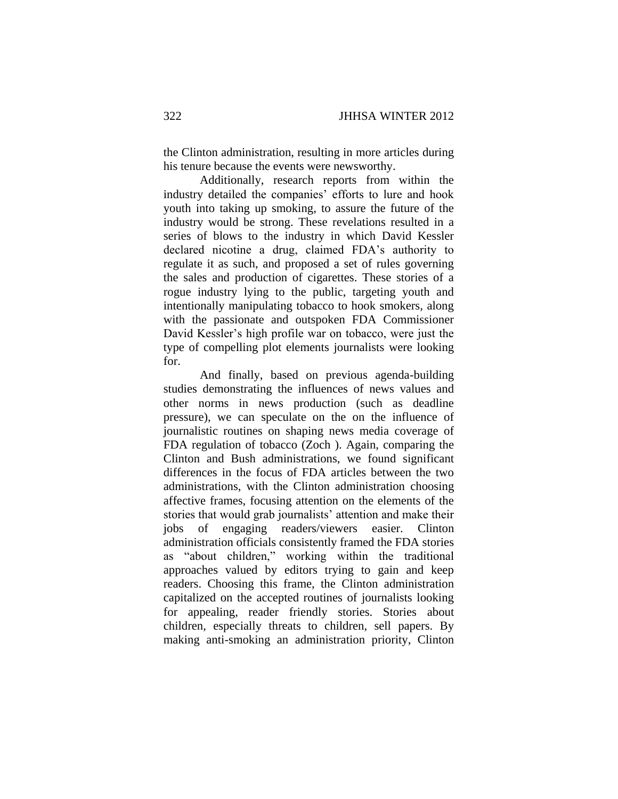the Clinton administration, resulting in more articles during his tenure because the events were newsworthy.

Additionally, research reports from within the industry detailed the companies' efforts to lure and hook youth into taking up smoking, to assure the future of the industry would be strong. These revelations resulted in a series of blows to the industry in which David Kessler declared nicotine a drug, claimed FDA's authority to regulate it as such, and proposed a set of rules governing the sales and production of cigarettes. These stories of a rogue industry lying to the public, targeting youth and intentionally manipulating tobacco to hook smokers, along with the passionate and outspoken FDA Commissioner David Kessler's high profile war on tobacco, were just the type of compelling plot elements journalists were looking for.

And finally, based on previous agenda-building studies demonstrating the influences of news values and other norms in news production (such as deadline pressure), we can speculate on the on the influence of journalistic routines on shaping news media coverage of FDA regulation of tobacco (Zoch ). Again, comparing the Clinton and Bush administrations, we found significant differences in the focus of FDA articles between the two administrations, with the Clinton administration choosing affective frames, focusing attention on the elements of the stories that would grab journalists' attention and make their jobs of engaging readers/viewers easier. Clinton administration officials consistently framed the FDA stories as "about children," working within the traditional approaches valued by editors trying to gain and keep readers. Choosing this frame, the Clinton administration capitalized on the accepted routines of journalists looking for appealing, reader friendly stories. Stories about children, especially threats to children, sell papers. By making anti-smoking an administration priority, Clinton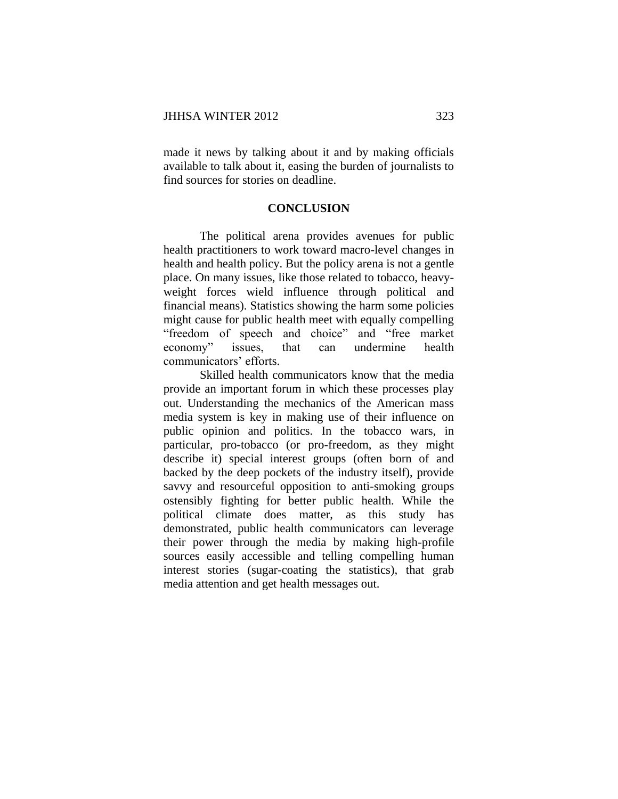made it news by talking about it and by making officials available to talk about it, easing the burden of journalists to find sources for stories on deadline.

# **CONCLUSION**

The political arena provides avenues for public health practitioners to work toward macro-level changes in health and health policy. But the policy arena is not a gentle place. On many issues, like those related to tobacco, heavyweight forces wield influence through political and financial means). Statistics showing the harm some policies might cause for public health meet with equally compelling "freedom of speech and choice" and "free market economy" issues, that can undermine health communicators' efforts.

Skilled health communicators know that the media provide an important forum in which these processes play out. Understanding the mechanics of the American mass media system is key in making use of their influence on public opinion and politics. In the tobacco wars, in particular, pro-tobacco (or pro-freedom, as they might describe it) special interest groups (often born of and backed by the deep pockets of the industry itself), provide savvy and resourceful opposition to anti-smoking groups ostensibly fighting for better public health. While the political climate does matter, as this study has demonstrated, public health communicators can leverage their power through the media by making high-profile sources easily accessible and telling compelling human interest stories (sugar-coating the statistics), that grab media attention and get health messages out.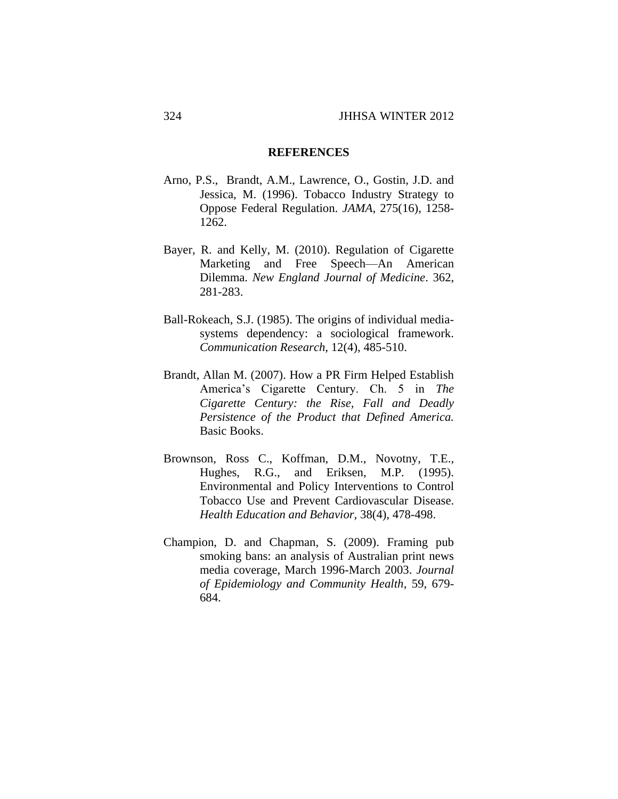#### **REFERENCES**

- Arno, P.S., Brandt, A.M., Lawrence, O., Gostin, J.D. and Jessica, M. (1996). Tobacco Industry Strategy to Oppose Federal Regulation. *JAMA*, 275(16), 1258- 1262.
- Bayer, R. and Kelly, M. (2010). Regulation of Cigarette Marketing and Free Speech—An American Dilemma. *New England Journal of Medicine*. 362, 281-283.
- Ball-Rokeach, S.J. (1985). The origins of individual mediasystems dependency: a sociological framework. *Communication Research*, 12(4), 485-510.
- Brandt, Allan M. (2007). How a PR Firm Helped Establish America's Cigarette Century. Ch. 5 in *The Cigarette Century: the Rise, Fall and Deadly Persistence of the Product that Defined America.* Basic Books.
- Brownson, Ross C., Koffman, D.M., Novotny, T.E., Hughes, R.G., and Eriksen, M.P. (1995). Environmental and Policy Interventions to Control Tobacco Use and Prevent Cardiovascular Disease. *Health Education and Behavior,* 38(4), 478-498.
- Champion, D. and Chapman, S. (2009). Framing pub smoking bans: an analysis of Australian print news media coverage, March 1996-March 2003. *Journal of Epidemiology and Community Health*, 59, 679- 684.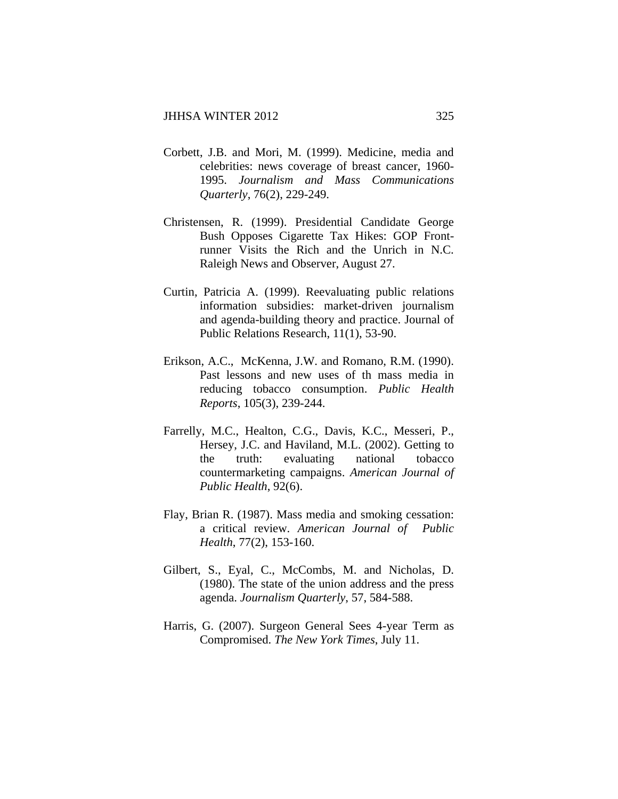- Corbett, J.B. and Mori, M. (1999). Medicine, media and celebrities: news coverage of breast cancer, 1960- 1995. *Journalism and Mass Communications Quarterly*, 76(2), 229-249.
- Christensen, R. (1999). Presidential Candidate George Bush Opposes Cigarette Tax Hikes: GOP Frontrunner Visits the Rich and the Unrich in N.C. Raleigh News and Observer, August 27.
- Curtin, Patricia A. (1999). Reevaluating public relations information subsidies: market-driven journalism and agenda-building theory and practice. Journal of Public Relations Research, 11(1), 53-90.
- Erikson, A.C., McKenna, J.W. and Romano, R.M. (1990). Past lessons and new uses of th mass media in reducing tobacco consumption. *Public Health Reports*, 105(3), 239-244.
- Farrelly, M.C., Healton, C.G., Davis, K.C., Messeri, P., Hersey, J.C. and Haviland, M.L. (2002). Getting to the truth: evaluating national tobacco countermarketing campaigns. *American Journal of Public Health*, 92(6).
- Flay, Brian R. (1987). Mass media and smoking cessation: a critical review. *American Journal of Public Health*, 77(2), 153-160.
- Gilbert, S., Eyal, C., McCombs, M. and Nicholas, D. (1980). The state of the union address and the press agenda. *Journalism Quarterly*, 57, 584-588.
- Harris, G. (2007). Surgeon General Sees 4-year Term as Compromised. *The New York Times*, July 11.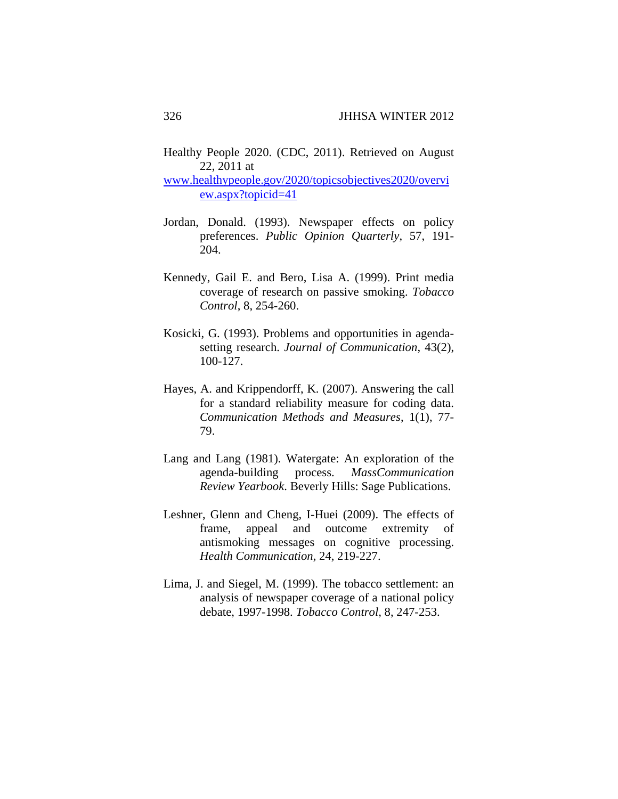Healthy People 2020. (CDC, 2011). Retrieved on August 22, 2011 at

www.healthypeople.gov/2020/topicsobjectives2020/overvi ew.aspx?topicid=41

- Jordan, Donald. (1993). Newspaper effects on policy preferences. *Public Opinion Quarterly*, 57, 191- 204.
- Kennedy, Gail E. and Bero, Lisa A. (1999). Print media coverage of research on passive smoking. *Tobacco Control*, 8, 254-260.
- Kosicki, G. (1993). Problems and opportunities in agendasetting research. *Journal of Communication*, 43(2), 100-127.
- Hayes, A. and Krippendorff, K. (2007). Answering the call for a standard reliability measure for coding data. *Communication Methods and Measures*, 1(1), 77- 79.
- Lang and Lang (1981). Watergate: An exploration of the agenda-building process. *MassCommunication Review Yearbook*. Beverly Hills: Sage Publications.
- Leshner, Glenn and Cheng, I-Huei (2009). The effects of frame, appeal and outcome extremity of antismoking messages on cognitive processing. *Health Communication,* 24, 219-227.
- Lima, J. and Siegel, M. (1999). The tobacco settlement: an analysis of newspaper coverage of a national policy debate, 1997-1998. *Tobacco Control,* 8, 247-253.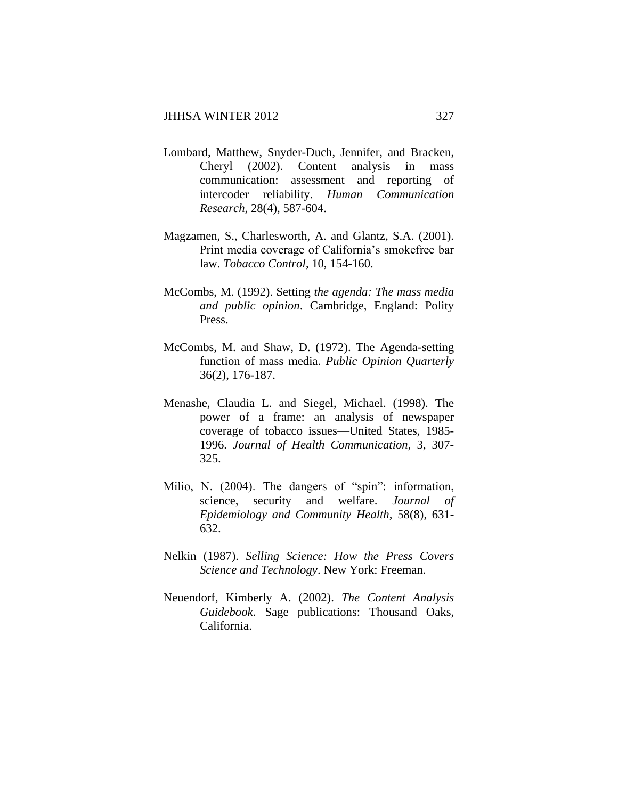- Lombard, Matthew, Snyder-Duch, Jennifer, and Bracken, Cheryl (2002). Content analysis in mass communication: assessment and reporting of intercoder reliability. *Human Communication Research*, 28(4), 587-604.
- Magzamen, S., Charlesworth, A. and Glantz, S.A. (2001). Print media coverage of California's smokefree bar law. *Tobacco Control*, 10, 154-160.
- McCombs, M. (1992). Setting *the agenda: The mass media and public opinion*. Cambridge, England: Polity Press.
- McCombs, M. and Shaw, D. (1972). The Agenda-setting function of mass media. *Public Opinion Quarterly* 36(2), 176-187.
- Menashe, Claudia L. and Siegel, Michael. (1998). The power of a frame: an analysis of newspaper coverage of tobacco issues—United States, 1985- 1996. *Journal of Health Communication,* 3, 307- 325.
- Milio, N. (2004). The dangers of "spin": information, science, security and welfare. *Journal of Epidemiology and Community Health*, 58(8), 631- 632.
- Nelkin (1987). *Selling Science: How the Press Covers Science and Technology*. New York: Freeman.
- Neuendorf, Kimberly A. (2002). *The Content Analysis Guidebook*. Sage publications: Thousand Oaks, California.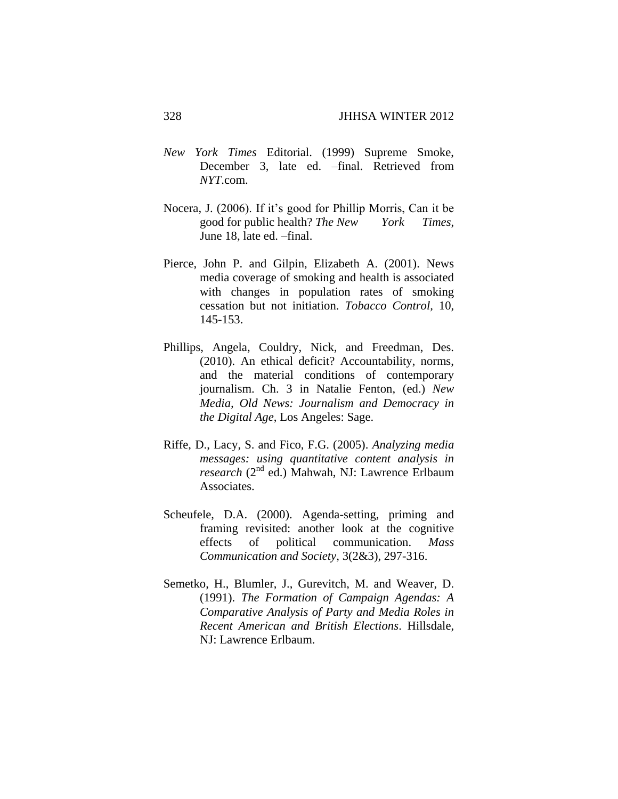- *New York Times* Editorial. (1999) Supreme Smoke, December 3, late ed. –final. Retrieved from *NYT*.com.
- Nocera, J. (2006). If it's good for Phillip Morris, Can it be good for public health? *The New York Times*, June 18, late ed. –final.
- Pierce, John P. and Gilpin, Elizabeth A. (2001). News media coverage of smoking and health is associated with changes in population rates of smoking cessation but not initiation. *Tobacco Control,* 10, 145-153.
- Phillips, Angela, Couldry, Nick, and Freedman, Des. (2010). An ethical deficit? Accountability, norms, and the material conditions of contemporary journalism. Ch. 3 in Natalie Fenton, (ed.) *New Media, Old News: Journalism and Democracy in the Digital Age*, Los Angeles: Sage.
- Riffe, D., Lacy, S. and Fico, F.G. (2005). *Analyzing media messages: using quantitative content analysis in research* (2nd ed.) Mahwah, NJ: Lawrence Erlbaum Associates.
- Scheufele, D.A. (2000). Agenda-setting, priming and framing revisited: another look at the cognitive effects of political communication. *Mass Communication and Society,* 3(2&3), 297-316.
- Semetko, H., Blumler, J., Gurevitch, M. and Weaver, D. (1991). *The Formation of Campaign Agendas: A Comparative Analysis of Party and Media Roles in Recent American and British Elections*. Hillsdale, NJ: Lawrence Erlbaum.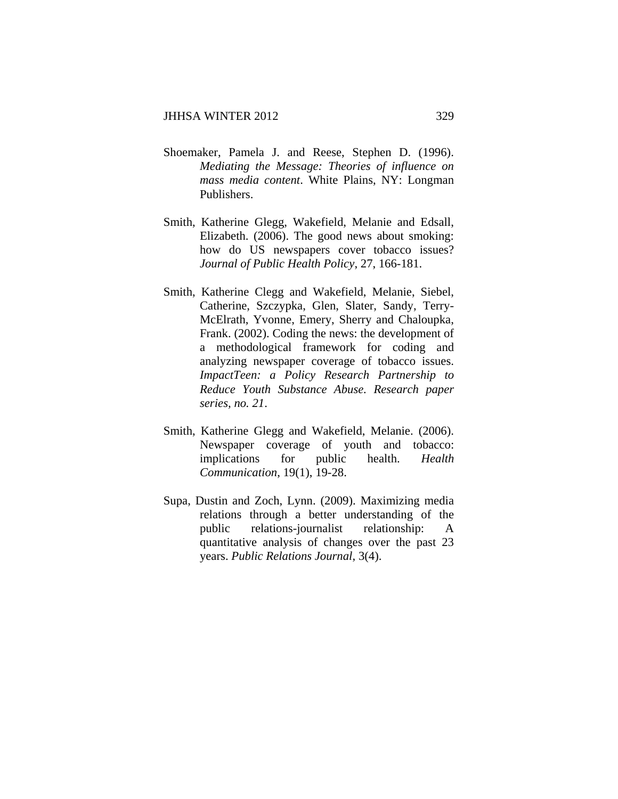- Shoemaker, Pamela J. and Reese, Stephen D. (1996). *Mediating the Message: Theories of influence on mass media content*. White Plains, NY: Longman Publishers.
- Smith, Katherine Glegg, Wakefield, Melanie and Edsall, Elizabeth. (2006). The good news about smoking: how do US newspapers cover tobacco issues? *Journal of Public Health Policy*, 27, 166-181.
- Smith, Katherine Clegg and Wakefield, Melanie, Siebel, Catherine, Szczypka, Glen, Slater, Sandy, Terry-McElrath, Yvonne, Emery, Sherry and Chaloupka, Frank. (2002). Coding the news: the development of a methodological framework for coding and analyzing newspaper coverage of tobacco issues. *ImpactTeen: a Policy Research Partnership to Reduce Youth Substance Abuse. Research paper series, no. 21*.
- Smith, Katherine Glegg and Wakefield, Melanie. (2006). Newspaper coverage of youth and tobacco: implications for public health. *Health Communication*, 19(1), 19-28.
- Supa, Dustin and Zoch, Lynn. (2009). Maximizing media relations through a better understanding of the public relations-journalist relationship: A quantitative analysis of changes over the past 23 years. *Public Relations Journal*, 3(4).